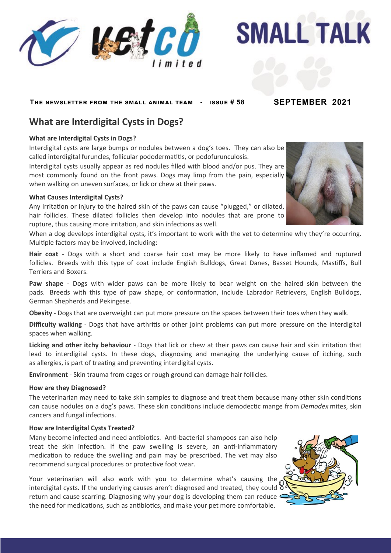

**SMALL TALK** 

## **The newsletter from the small animal team - issue # 58 SEPTEMBER 2021**

# **What are Interdigital Cysts in Dogs?**

## **What are Interdigital Cysts in Dogs?**

Interdigital cysts are large bumps or nodules between a dog's toes. They can also be called interdigital furuncles, follicular pododermatitis, or podofurunculosis.

Interdigital cysts usually appear as red nodules filled with blood and/or pus. They are most commonly found on the front paws. Dogs may limp from the pain, especially when walking on uneven surfaces, or lick or chew at their paws.

## **What Causes Interdigital Cysts?**

Any irritation or injury to the haired skin of the paws can cause "plugged," or dilated, hair follicles. These dilated follicles then develop into nodules that are prone to rupture, thus causing more irritation, and skin infections as well.

When a dog develops interdigital cysts, it's important to work with the vet to determine why they're occurring. Multiple factors may be involved, including:

**Hair coat** - Dogs with a short and coarse hair coat may be more likely to have inflamed and ruptured follicles. Breeds with this type of coat include English Bulldogs, Great Danes, Basset Hounds, Mastiffs, Bull Terriers and Boxers.

**Paw shape** - Dogs with wider paws can be more likely to bear weight on the haired skin between the pads. Breeds with this type of paw shape, or conformation, include Labrador Retrievers, English Bulldogs, German Shepherds and Pekingese.

**Obesity** - Dogs that are overweight can put more pressure on the spaces between their toes when they walk.

**Difficulty walking** - Dogs that have arthritis or other joint problems can put more pressure on the interdigital spaces when walking.

**Licking and other itchy behaviour** - Dogs that lick or chew at their paws can cause hair and skin irritation that lead to interdigital cysts. In these dogs, diagnosing and managing the underlying cause of itching, such as allergies, is part of treating and preventing interdigital cysts.

**Environment** - Skin trauma from cages or rough ground can damage hair follicles.

#### **How are they Diagnosed?**

The veterinarian may need to take skin samples to diagnose and treat them because many other skin conditions can cause nodules on a dog's paws. These skin conditions include demodectic mange from *Demodex* mites, skin cancers and fungal infections.

#### **How are Interdigital Cysts Treated?**

Many become infected and need antibiotics. Anti-bacterial shampoos can also help treat the skin infection. If the paw swelling is severe, an anti-inflammatory medication to reduce the swelling and pain may be prescribed. The vet may also recommend surgical procedures or protective foot wear.

Your veterinarian will also work with you to determine what's causing the interdigital cysts. If the underlying causes aren't diagnosed and treated, they could  $\delta$ return and cause scarring. Diagnosing why your dog is developing them can reduce the need for medications, such as antibiotics, and make your pet more comfortable.